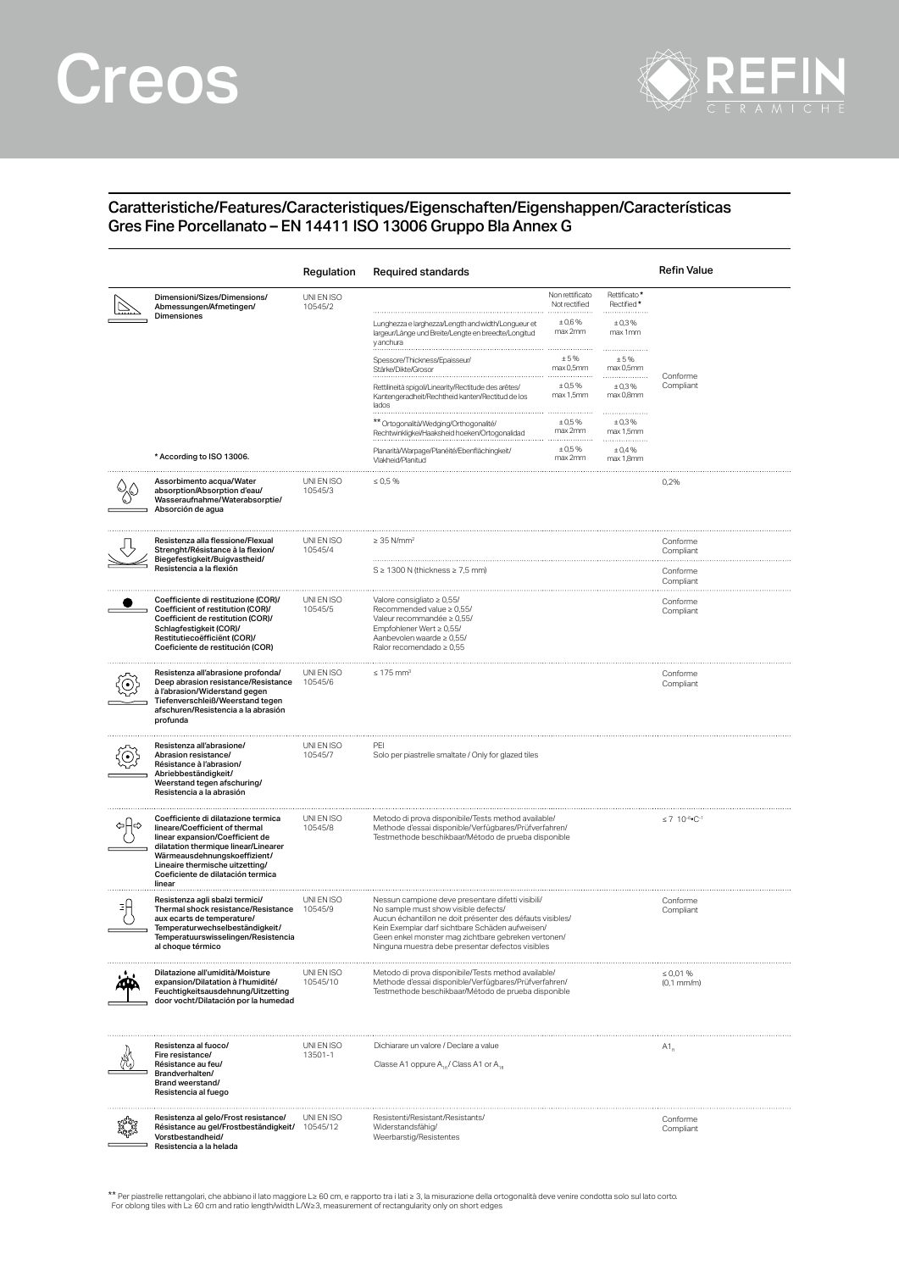## Creos



## Caratteristiche/Features/Caracteristiques/Eigenschaften/Eigenshappen/Características Gres Fine Porcellanato – EN 14411 ISO 13006 Gruppo Bla Annex G

|                                                                                                                                                                                                                                                                    | Regulation             | Required standards                                                                                                                                                                                                                                                                                                   |                                                      |                                                | Refin Value                                |  |
|--------------------------------------------------------------------------------------------------------------------------------------------------------------------------------------------------------------------------------------------------------------------|------------------------|----------------------------------------------------------------------------------------------------------------------------------------------------------------------------------------------------------------------------------------------------------------------------------------------------------------------|------------------------------------------------------|------------------------------------------------|--------------------------------------------|--|
| Dimensioni/Sizes/Dimensions/<br>Abmessungen/Afmetingen/<br>Dimensiones                                                                                                                                                                                             | UNI EN ISO<br>10545/2  | Lunghezza e larghezza/Length and width/Longueur et<br>largeur/Länge und Breite/Lengte en breedte/Longitud                                                                                                                                                                                                            | Non rettificato<br>Not rectified<br>±0,6%<br>max 2mm | Rettificato*<br>Rectified*<br>±0,3%<br>max 1mm |                                            |  |
|                                                                                                                                                                                                                                                                    |                        | y anchura<br>Spessore/Thickness/Epaisseur.<br>Stärke/Dikte/Grosor                                                                                                                                                                                                                                                    | ±5%<br>max 0,5mm                                     | ± 5%<br>max 0.5mm                              |                                            |  |
|                                                                                                                                                                                                                                                                    |                        | Rettilineità spigoli/Linearity/Rectitude des arêtes/<br>Kantengeradheit/Rechtheid kanten/Rectitud de los<br>lados                                                                                                                                                                                                    | ± 0.5%<br>max 1,5mm                                  | ±0,3%<br>max 0,8mm                             | Conforme<br>Compliant                      |  |
|                                                                                                                                                                                                                                                                    |                        | ** Ortogonalità/Wedging/Orthogonalité/<br>Rechtwinkligkei/Haaksheid hoeken/Ortogonalidad                                                                                                                                                                                                                             | $± 0.5\%$<br>max 2mm                                 | .<br>±0,3%<br>max 1,5mm                        |                                            |  |
| * According to ISO 13006.                                                                                                                                                                                                                                          |                        | Planarità/Warpage/Planéité/Ebenflächingkeit/<br>Vlakheid/Planitud                                                                                                                                                                                                                                                    | ± 0.5%<br>max 2mm                                    | ± 0,4%<br>max 1,8mm                            |                                            |  |
| Assorbimento acqua/Water<br>absorption/Absorption d'eau/<br>Wasseraufnahme/Waterabsorptie/<br>Absorción de agua                                                                                                                                                    | UNI EN ISO<br>10545/3  | $\leq 0.5 \%$                                                                                                                                                                                                                                                                                                        |                                                      |                                                | 0,2%                                       |  |
| Resistenza alla flessione/Flexual<br>Strenght/Résistance à la flexion/<br>Biegefestigkeit/Buigvastheid/<br>Resistencia a la flexión                                                                                                                                | UNI EN ISO<br>10545/4  | $\geq$ 35 N/mm <sup>2</sup>                                                                                                                                                                                                                                                                                          |                                                      | Conforme<br>Compliant                          |                                            |  |
|                                                                                                                                                                                                                                                                    |                        | $S \geq 1300$ N (thickness $\geq 7.5$ mm)                                                                                                                                                                                                                                                                            |                                                      |                                                |                                            |  |
| Coefficiente di restituzione (COR)/<br>Coefficient of restitution (COR)/<br>Coefficient de restitution (COR)/<br>Schlagfestigkeit (COR)/<br>Restitutiecoëfficiënt (COR)/<br>Coeficiente de restitución (COR)                                                       | UNI EN ISO<br>10545/5  | Valore consigliato $\geq 0.55$ /<br>Recommended value $\geq 0.55$ /<br>Valeur recommandée ≥ 0,55/<br>Empfohlener Wert ≥ 0,55/<br>Aanbevolen waarde ≥ 0,55/<br>Ralor recomendado ≥ 0,55                                                                                                                               |                                                      |                                                | Conforme<br>Compliant                      |  |
| Resistenza all'abrasione profonda/<br>Deep abrasion resistance/Resistance<br>à l'abrasion/Widerstand gegen<br>Tiefenverschleiß/Weerstand tegen<br>afschuren/Resistencia a la abrasión<br>profunda                                                                  | UNI EN ISO<br>10545/6  | $\leq 175$ mm <sup>3</sup>                                                                                                                                                                                                                                                                                           |                                                      |                                                | Conforme<br>Compliant                      |  |
| Resistenza all'abrasione/<br>Abrasion resistance/<br>Résistance à l'abrasion/<br>Abriebbeständigkeit/<br>Weerstand tegen afschuring/<br>Resistencia a la abrasión                                                                                                  | UNI EN ISO<br>10545/7  | PEI<br>Solo per piastrelle smaltate / Only for glazed tiles                                                                                                                                                                                                                                                          |                                                      |                                                |                                            |  |
| Coefficiente di dilatazione termica<br>lineare/Coefficient of thermal<br>linear expansion/Coefficient de<br>dilatation thermique linear/Linearer<br>Wärmeausdehnungskoeffizient/<br>Lineaire thermische uitzetting/<br>Coeficiente de dilatación termica<br>linear | UNI EN ISO<br>10545/8  | Metodo di prova disponibile/Tests method available/<br>Methode d'essai disponible/Verfügbares/Prüfverfahren/<br>Testmethode beschikbaar/Método de prueba disponible                                                                                                                                                  |                                                      |                                                | $\leq 7$ 10 <sup>-6</sup> °C <sup>-1</sup> |  |
| Resistenza agli sbalzi termici/<br>Thermal shock resistance/Resistance<br>aux ecarts de temperature/<br>Temperaturwechselbeständigkeit/<br>Temperatuurswisselingen/Resistencia<br>al choque térmico                                                                | UNI EN ISO<br>10545/9  | Nessun campione deve presentare difetti visibili/<br>No sample must show visible defects/<br>Aucun échantillon ne doit présenter des défauts visibles/<br>Kein Exemplar darf sichtbare Schäden aufweisen/<br>Geen enkel monster mag zichtbare gebreken vertonen/<br>Ninguna muestra debe presentar defectos visibles |                                                      | Conforme<br>Compliant                          |                                            |  |
| Dilatazione all'umidità/Moisture<br>expansion/Dilatation à l'humidité/<br>Feuchtigkeitsausdehnung/Uitzetting<br>door vocht/Dilatación por la humedad                                                                                                               | UNI EN ISO<br>10545/10 | Metodo di prova disponibile/Tests method available/<br>Methode d'essai disponible/Verfügbares/Prüfverfahren/<br>Testmethode beschikbaar/Método de prueba disponible                                                                                                                                                  |                                                      |                                                | $\leq 0.01 \%$<br>$(0,1$ mm/m $)$          |  |
| Resistenza al fuoco/<br>Fire resistance/<br>Résistance au feu/<br>Brandverhalten/<br>Brand weerstand/<br>Resistencia al fuego                                                                                                                                      | UNI EN ISO<br>13501-1  | Dichiarare un valore / Declare a value<br>Classe A1 oppure A <sub>10</sub> / Class A1 or A <sub>10</sub>                                                                                                                                                                                                             |                                                      | $A1_{a}$                                       |                                            |  |
| Resistenza al gelo/Frost resistance/<br>Résistance au gel/Frostbeständigkeit/<br>Vorstbestandheid/<br>Resistencia a la helada                                                                                                                                      | UNI EN ISO<br>10545/12 | Resistenti/Resistant/Resistants/<br>Widerstandsfähig/<br>Weerbarstig/Resistentes                                                                                                                                                                                                                                     |                                                      |                                                | Conforme<br>Compliant                      |  |

\*\* Per piastrelle rettangolari, che abbiano il lato maggiore L≥ 60 cm, e rapporto tra i lati ≥ 3, la misurazione della ortogonalità deve venire condotta solo sul lato corto<br>For oblong tiles with L≥ 60 cm and ratio length/